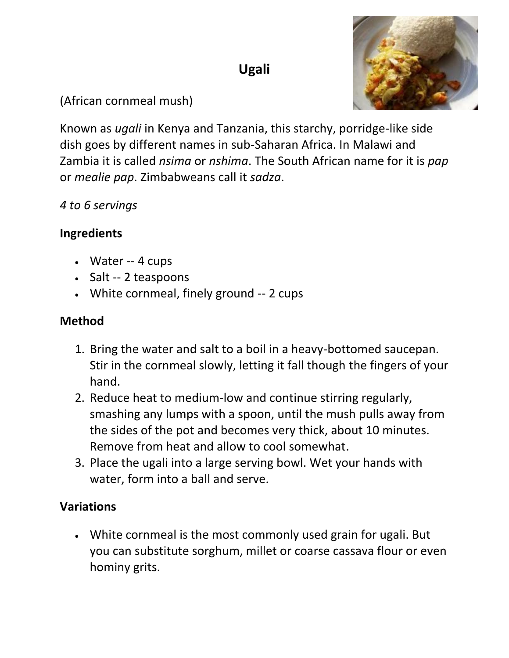# **Ugali**



### (African cornmeal mush)

Known as *ugali* in Kenya and Tanzania, this starchy, porridge-like side dish goes by different names in sub-Saharan Africa. In Malawi and Zambia it is called *nsima* or *nshima*. The South African name for it is *pap* or *mealie pap*. Zimbabweans call it *sadza*.

#### *4 to 6 servings*

#### **Ingredients**

- Water -- 4 cups
- Salt -- 2 teaspoons
- White cornmeal, finely ground -- 2 cups

#### **Method**

- 1. Bring the water and salt to a boil in a heavy-bottomed saucepan. Stir in the cornmeal slowly, letting it fall though the fingers of your hand.
- 2. Reduce heat to medium-low and continue stirring regularly, smashing any lumps with a spoon, until the mush pulls away from the sides of the pot and becomes very thick, about 10 minutes. Remove from heat and allow to cool somewhat.
- 3. Place the ugali into a large serving bowl. Wet your hands with water, form into a ball and serve.

## **Variations**

 White cornmeal is the most commonly used grain for ugali. But you can substitute sorghum, millet or coarse cassava flour or even hominy grits.